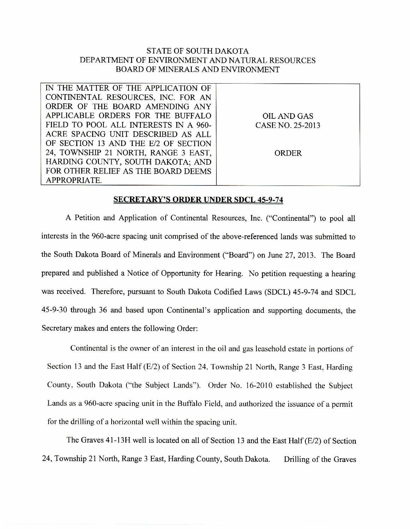## STATE OF SOUTH DAKOTA DEPARTMENT OF ENVIRONMENT AND NATURAL RESOURCES BOARD OF MINERALS AND ENVIRONMENT

| IN THE MATTER OF THE APPLICATION OF   |                  |
|---------------------------------------|------------------|
| CONTINENTAL RESOURCES, INC. FOR AN    |                  |
| ORDER OF THE BOARD AMENDING ANY       |                  |
| APPLICABLE ORDERS FOR THE BUFFALO     | OIL AND GAS      |
| FIELD TO POOL ALL INTERESTS IN A 960- | CASE NO. 25-2013 |
| ACRE SPACING UNIT DESCRIBED AS ALL    |                  |
| OF SECTION 13 AND THE E/2 OF SECTION  |                  |
| 24, TOWNSHIP 21 NORTH, RANGE 3 EAST,  | ORDER            |
| HARDING COUNTY, SOUTH DAKOTA; AND     |                  |
| FOR OTHER RELIEF AS THE BOARD DEEMS   |                  |
| APPROPRIATE.                          |                  |

## **SECRETARY'S ORDER UNDER SDCL 45-9-74**

A Petition and Application of Continental Resources, Inc. ("Continental") to pool all interests in the 960-acre spacing unit comprised of the above-referenced lands was submitted to the South Dakota Board of Minerals and Environment ("Board") on June 27, 2013. The Board prepared and published a Notice of Opportunity for Hearing. No petition requesting a hearing was received. Therefore, pursuant to South Dakota Codified Laws (SDCL) 45-9-74 and SDCL 45-9-30 through 36 and based upon Continental's application and supporting documents, the Secretary makes and enters the following Order:

Continental is the owner of an interest in the oil and gas leasehold estate in portions of Section 13 and the East Half (E/2) of Section 24, Township 21 North, Range 3 East, Harding County, South Dakota ("the Subject Lands"). Order No. 16-2010 established the Subject Lands as a 960-acre spacing unit in the Buffalo Field, and authorized the issuance of a permit for the drilling of a horizontal well within the spacing unit.

The Graves 41-13H well is located on all of Section 13 and the East Half (E/2) of Section 24, Township 21 North, Range 3 East, Harding County, South Dakota. Drilling of the Graves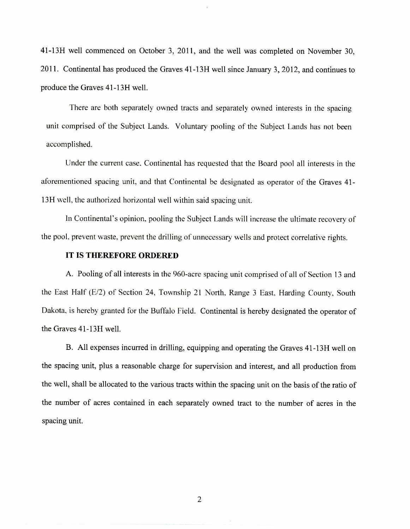41-13H well commenced on October 3, 2011, and the well was completed on November 30, 2011. Continental has produced the Graves 41-13H well since January 3, 2012, and continues to produce the Graves 41-13H well.

There are both separately owned tracts and separately owned interests in the spacing unit comprised of the Subject Lands. Voluntary pooling of the Subject Lands has not been accomplished.

Under the current case, Continental has requested that the Board pool all interests in the aforementioned spacing unit, and that Continental be designated as operator of the Graves 41- 1311 well, the authorized horizontal well within said spacing unit.

In Continental's opinion, pooling the Subject Lands will increase the ultimate recovery of the pool. prevent waste, prevent the drilling of unnecessary wells and protect correlative rights.

## **IT IS THEREFORE ORDERED**

A. Pooling of all interests in the 960-acre spacing unit comprised of all of Section 13 and the East Half (E/2) of Section 24, Township 21 North, Range 3 East, Harding County, South Dakota, is hereby granted for the Buffalo Field. Continental is hereby designated the operator of the Graves 41-13H well.

B. All expenses incurred in drilling, equipping and operating the Graves 41-13H well on the spacing unit, plus a reasonable charge for supervision and interest, and all production from the well, shall be allocated to the various tracts within the spacing unit on the basis of the ratio of the number of acres contained in each separately owned tract to the number of acres in the spacing unit.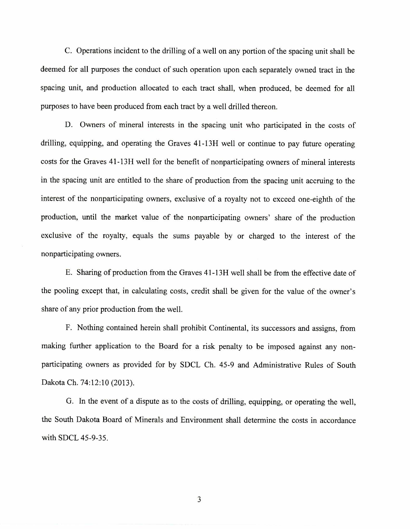C. Operations incident to the drilling of a well on any portion of the spacing unit shall be deemed for all purposes the conduct of such operation upon each separately owned tract in the spacing unit, and production allocated to each tract shall, when produced, be deemed for all purposes to have been produced from each tract by a well drilled thereon.

D. Owners of mineral interests in the spacing unit who participated in the costs of drilling, equipping, and operating the Graves 41-13H well or continue to pay future operating costs for the Graves 41-13H well for the benefit of nonparticipating owners of mineral interests in the spacing unit are entitled to the share of production from the spacing unit accruing to the interest of the nonparticipating owners, exclusive of a royalty not to exceed one-eighth of the production, until the market value of the nonparticipating owners' share of the production exclusive of the royalty, equals the sums payable by or charged to the interest of the nonparticipating owners.

E. Sharing of production from the Graves 41-13H well shall be from the effective date of the pooling except that, in calculating costs, credit shall be given for the value of the owner's share of any prior production from the well.

F. Nothing contained herein shall prohibit Continental, its successors and assigns, from making further application to the Board for a risk penalty to be imposed against any nonparticipating owners as provided for by SDCL Ch. 45-9 and Administrative Rules of South Dakota Ch. 74:12:10 (2013).

G. In the event of a dispute as to the costs of drilling, equipping, or operating the well, the South Dakota Board of Minerals and Environment shall determine the costs in accordance with SDCL 45-9-35.

3